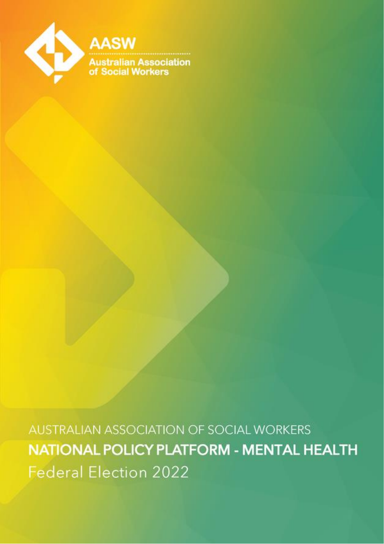

**AUSTRALIAN ASSOCIATION OF SOCIAL WORKERS** NATIONAL POLICY PLATFORM - MENTAL HEALTH **Federal Election 2022**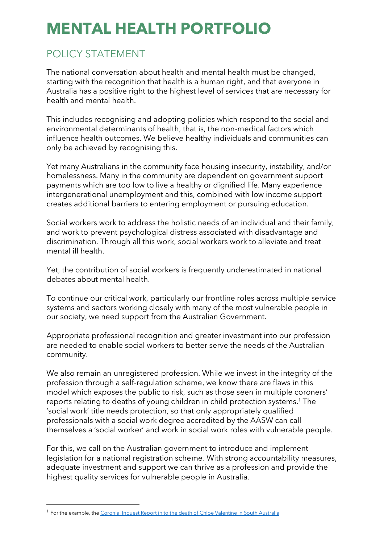# **MENTAL HEALTH PORTFOLIO**

## POLICY STATEMENT

The national conversation about health and mental health must be changed, starting with the recognition that health is a human right, and that everyone in Australia has a positive right to the highest level of services that are necessary for health and mental health.

This includes recognising and adopting policies which respond to the social and environmental determinants of health, that is, the non-medical factors which influence health outcomes. We believe healthy individuals and communities can only be achieved by recognising this.

Yet many Australians in the community face housing insecurity, instability, and/or homelessness. Many in the community are dependent on government support payments which are too low to live a healthy or dignified life. Many experience intergenerational unemployment and this, combined with low income support creates additional barriers to entering employment or pursuing education.

Social workers work to address the holistic needs of an individual and their family, and work to prevent psychological distress associated with disadvantage and discrimination. Through all this work, social workers work to alleviate and treat mental ill health.

Yet, the contribution of social workers is frequently underestimated in national debates about mental health.

To continue our critical work, particularly our frontline roles across multiple service systems and sectors working closely with many of the most vulnerable people in our society, we need support from the Australian Government.

Appropriate professional recognition and greater investment into our profession are needed to enable social workers to better serve the needs of the Australian community.

We also remain an unregistered profession. While we invest in the integrity of the profession through a self-regulation scheme, we know there are flaws in this model which exposes the public to risk, such as those seen in multiple coroners' reports relating to deaths of young children in child protection systems.<sup>1</sup> The 'social work' title needs protection, so that only appropriately qualified professionals with a social work degree accredited by the AASW can call themselves a 'social worker' and work in social work roles with vulnerable people.

For this, we call on the Australian government to introduce and implement legislation for a national registration scheme. With strong accountability measures, adequate investment and support we can thrive as a profession and provide the highest quality services for vulnerable people in Australia.

<sup>&</sup>lt;sup>1</sup> For the example, the Coronial Inquest Report in to [the death of Chloe Valentine in South Australia](https://www.childprotection.sa.gov.au/documents/report/inquest-valentine-chloe-lee.pdf)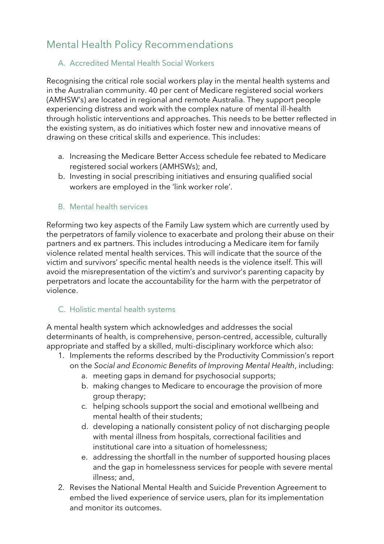## Mental Health Policy Recommendations

#### A. Accredited Mental Health Social Workers

Recognising the critical role social workers play in the mental health systems and in the Australian community. 40 per cent of Medicare registered social workers (AMHSW's) are located in regional and remote Australia. They support people experiencing distress and work with the complex nature of mental ill-health through holistic interventions and approaches. This needs to be better reflected in the existing system, as do initiatives which foster new and innovative means of drawing on these critical skills and experience. This includes:

- a. Increasing the Medicare Better Access schedule fee rebated to Medicare registered social workers (AMHSWs); and,
- b. Investing in social prescribing initiatives and ensuring qualified social workers are employed in the 'link worker role'.

#### B. Mental health services

Reforming two key aspects of the Family Law system which are currently used by the perpetrators of family violence to exacerbate and prolong their abuse on their partners and ex partners. This includes introducing a Medicare item for family violence related mental health services. This will indicate that the source of the victim and survivors' specific mental health needs is the violence itself. This will avoid the misrepresentation of the victim's and survivor's parenting capacity by perpetrators and locate the accountability for the harm with the perpetrator of violence.

#### C. Holistic mental health systems

A mental health system which acknowledges and addresses the social determinants of health, is comprehensive, person-centred, accessible, culturally appropriate and staffed by a skilled, multi-disciplinary workforce which also:

- 1. Implements the reforms described by the Productivity Commission's report on the *Social and Economic Benefits of Improving Mental Health*, including:
	- a. meeting gaps in demand for psychosocial supports;
	- b. making changes to Medicare to encourage the provision of more group therapy;
	- c. helping schools support the social and emotional wellbeing and mental health of their students;
	- d. developing a nationally consistent policy of not discharging people with mental illness from hospitals, correctional facilities and institutional care into a situation of homelessness;
	- e. addressing the shortfall in the number of supported housing places and the gap in homelessness services for people with severe mental illness; and,
- 2. Revises the National Mental Health and Suicide Prevention Agreement to embed the lived experience of service users, plan for its implementation and monitor its outcomes.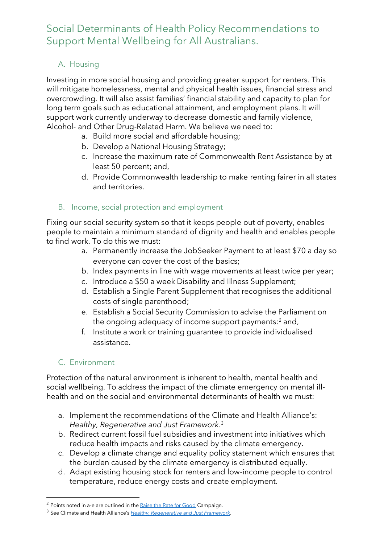### Social Determinants of Health Policy Recommendations to Support Mental Wellbeing for All Australians.

#### A. Housing

Investing in more social housing and providing greater support for renters. This will mitigate homelessness, mental and physical health issues, financial stress and overcrowding. It will also assist families' financial stability and capacity to plan for long term goals such as educational attainment, and employment plans. It will support work currently underway to decrease domestic and family violence, Alcohol- and Other Drug-Related Harm. We believe we need to:

- a. Build more social and affordable housing;
- b. Develop a National Housing Strategy;
- c. Increase the maximum rate of Commonwealth Rent Assistance by at least 50 percent; and,
- d. Provide Commonwealth leadership to make renting fairer in all states and territories.

#### B. Income, social protection and employment

Fixing our social security system so that it keeps people out of poverty, enables people to maintain a minimum standard of dignity and health and enables people to find work. To do this we must:

- a. Permanently increase the JobSeeker Payment to at least \$70 a day so everyone can cover the cost of the basics;
- b. Index payments in line with wage movements at least twice per year;
- c. Introduce a \$50 a week Disability and Illness Supplement;
- d. Establish a Single Parent Supplement that recognises the additional costs of single parenthood;
- e. Establish a Social Security Commission to advise the Parliament on the ongoing adequacy of income support payments: <sup>2</sup> and,
- f. Institute a work or training guarantee to provide individualised assistance.

#### C. Environment

Protection of the natural environment is inherent to health, mental health and social wellbeing. To address the impact of the climate emergency on mental illhealth and on the social and environmental determinants of health we must:

- a. Implement the recommendations of the Climate and Health Alliance's: *Healthy, Regenerative and Just Framework*. 3
- b. Redirect current fossil fuel subsidies and investment into initiatives which reduce health impacts and risks caused by the climate emergency.
- c. Develop a climate change and equality policy statement which ensures that the burden caused by the climate emergency is distributed equally.
- d. Adapt existing housing stock for renters and low-income people to control temperature, reduce energy costs and create employment.

<sup>&</sup>lt;sup>2</sup> Points noted in a-e are outlined in the <u>[Raise the Rate for Good](https://raisetherate.org.au/about/#:~:text=The%20campaign%20to%20Raise%20the,at%20least%20%2469%20a%20day)</u> Campaign.

<sup>3</sup> See Climate and Health Alliance's *[Healthy, Regenerative and Just Framework](https://d3n8a8pro7vhmx.cloudfront.net/caha/pages/1947/attachments/original/1639623234/caha-framework-2.0-FA.pdf?1639623234)*.